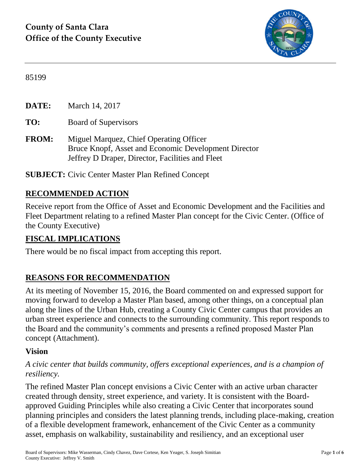

#### 85199

**DATE:** March 14, 2017

**TO:** Board of Supervisors

**FROM:** Miguel Marquez, Chief Operating Officer Bruce Knopf, Asset and Economic Development Director Jeffrey D Draper, Director, Facilities and Fleet

**SUBJECT:** Civic Center Master Plan Refined Concept

#### **RECOMMENDED ACTION**

Receive report from the Office of Asset and Economic Development and the Facilities and Fleet Department relating to a refined Master Plan concept for the Civic Center. (Office of the County Executive)

#### **FISCAL IMPLICATIONS**

There would be no fiscal impact from accepting this report.

## **REASONS FOR RECOMMENDATION**

At its meeting of November 15, 2016, the Board commented on and expressed support for moving forward to develop a Master Plan based, among other things, on a conceptual plan along the lines of the Urban Hub, creating a County Civic Center campus that provides an urban street experience and connects to the surrounding community. This report responds to the Board and the community's comments and presents a refined proposed Master Plan concept (Attachment).

#### **Vision**

#### *A civic center that builds community, offers exceptional experiences, and is a champion of resiliency.*

The refined Master Plan concept envisions a Civic Center with an active urban character created through density, street experience, and variety. It is consistent with the Boardapproved Guiding Principles while also creating a Civic Center that incorporates sound planning principles and considers the latest planning trends, including place-making, creation of a flexible development framework, enhancement of the Civic Center as a community asset, emphasis on walkability, sustainability and resiliency, and an exceptional user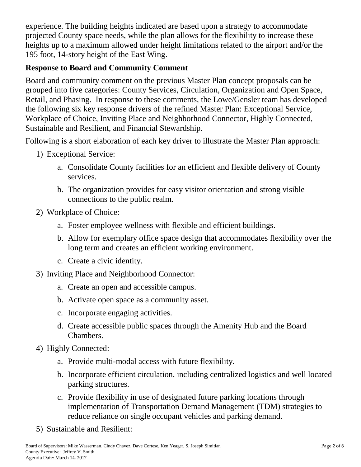experience. The building heights indicated are based upon a strategy to accommodate projected County space needs, while the plan allows for the flexibility to increase these heights up to a maximum allowed under height limitations related to the airport and/or the 195 foot, 14-story height of the East Wing.

## **Response to Board and Community Comment**

Board and community comment on the previous Master Plan concept proposals can be grouped into five categories: County Services, Circulation, Organization and Open Space, Retail, and Phasing. In response to these comments, the Lowe/Gensler team has developed the following six key response drivers of the refined Master Plan: Exceptional Service, Workplace of Choice, Inviting Place and Neighborhood Connector, Highly Connected, Sustainable and Resilient, and Financial Stewardship.

Following is a short elaboration of each key driver to illustrate the Master Plan approach:

- 1) Exceptional Service:
	- a. Consolidate County facilities for an efficient and flexible delivery of County services.
	- b. The organization provides for easy visitor orientation and strong visible connections to the public realm.
- 2) Workplace of Choice:
	- a. Foster employee wellness with flexible and efficient buildings.
	- b. Allow for exemplary office space design that accommodates flexibility over the long term and creates an efficient working environment.
	- c. Create a civic identity.
- 3) Inviting Place and Neighborhood Connector:
	- a. Create an open and accessible campus.
	- b. Activate open space as a community asset.
	- c. Incorporate engaging activities.
	- d. Create accessible public spaces through the Amenity Hub and the Board Chambers.
- 4) Highly Connected:
	- a. Provide multi-modal access with future flexibility.
	- b. Incorporate efficient circulation, including centralized logistics and well located parking structures.
	- c. Provide flexibility in use of designated future parking locations through implementation of Transportation Demand Management (TDM) strategies to reduce reliance on single occupant vehicles and parking demand.
- 5) Sustainable and Resilient: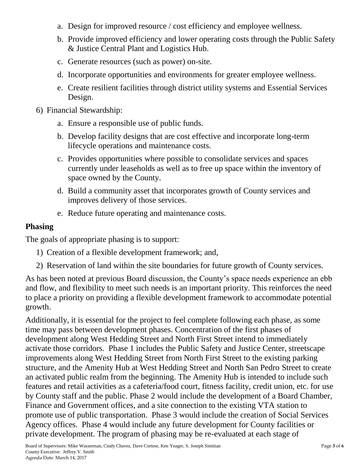- a. Design for improved resource / cost efficiency and employee wellness.
- b. Provide improved efficiency and lower operating costs through the Public Safety & Justice Central Plant and Logistics Hub.
- c. Generate resources (such as power) on-site.
- d. Incorporate opportunities and environments for greater employee wellness.
- e. Create resilient facilities through district utility systems and Essential Services Design.
- 6) Financial Stewardship:
	- a. Ensure a responsible use of public funds.
	- b. Develop facility designs that are cost effective and incorporate long-term lifecycle operations and maintenance costs.
	- c. Provides opportunities where possible to consolidate services and spaces currently under leaseholds as well as to free up space within the inventory of space owned by the County.
	- d. Build a community asset that incorporates growth of County services and improves delivery of those services.
	- e. Reduce future operating and maintenance costs.

#### **Phasing**

The goals of appropriate phasing is to support:

- 1) Creation of a flexible development framework; and,
- 2) Reservation of land within the site boundaries for future growth of County services.

As has been noted at previous Board discussion, the County's space needs experience an ebb and flow, and flexibility to meet such needs is an important priority. This reinforces the need to place a priority on providing a flexible development framework to accommodate potential growth.

Additionally, it is essential for the project to feel complete following each phase, as some time may pass between development phases. Concentration of the first phases of development along West Hedding Street and North First Street intend to immediately activate those corridors. Phase 1 includes the Public Safety and Justice Center, streetscape improvements along West Hedding Street from North First Street to the existing parking structure, and the Amenity Hub at West Hedding Street and North San Pedro Street to create an activated public realm from the beginning. The Amenity Hub is intended to include such features and retail activities as a cafeteria/food court, fitness facility, credit union, etc. for use by County staff and the public. Phase 2 would include the development of a Board Chamber, Finance and Government offices, and a site connection to the existing VTA station to promote use of public transportation. Phase 3 would include the creation of Social Services Agency offices. Phase 4 would include any future development for County facilities or private development. The program of phasing may be re-evaluated at each stage of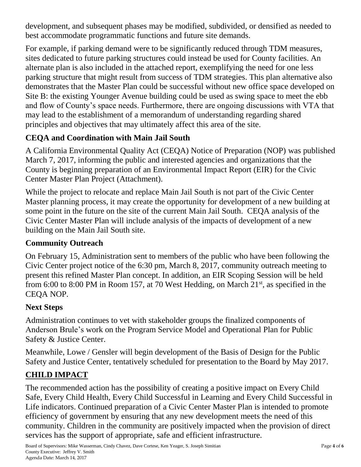development, and subsequent phases may be modified, subdivided, or densified as needed to best accommodate programmatic functions and future site demands.

For example, if parking demand were to be significantly reduced through TDM measures, sites dedicated to future parking structures could instead be used for County facilities. An alternate plan is also included in the attached report, exemplifying the need for one less parking structure that might result from success of TDM strategies. This plan alternative also demonstrates that the Master Plan could be successful without new office space developed on Site B: the existing Younger Avenue building could be used as swing space to meet the ebb and flow of County's space needs. Furthermore, there are ongoing discussions with VTA that may lead to the establishment of a memorandum of understanding regarding shared principles and objectives that may ultimately affect this area of the site.

## **CEQA and Coordination with Main Jail South**

A California Environmental Quality Act (CEQA) Notice of Preparation (NOP) was published March 7, 2017, informing the public and interested agencies and organizations that the County is beginning preparation of an Environmental Impact Report (EIR) for the Civic Center Master Plan Project (Attachment).

While the project to relocate and replace Main Jail South is not part of the Civic Center Master planning process, it may create the opportunity for development of a new building at some point in the future on the site of the current Main Jail South. CEQA analysis of the Civic Center Master Plan will include analysis of the impacts of development of a new building on the Main Jail South site.

## **Community Outreach**

On February 15, Administration sent to members of the public who have been following the Civic Center project notice of the 6:30 pm, March 8, 2017, community outreach meeting to present this refined Master Plan concept. In addition, an EIR Scoping Session will be held from 6:00 to 8:00 PM in Room 157, at 70 West Hedding, on March  $21<sup>st</sup>$ , as specified in the CEQA NOP.

# **Next Steps**

Administration continues to vet with stakeholder groups the finalized components of Anderson Brule's work on the Program Service Model and Operational Plan for Public Safety & Justice Center.

Meanwhile, Lowe / Gensler will begin development of the Basis of Design for the Public Safety and Justice Center, tentatively scheduled for presentation to the Board by May 2017.

# **CHILD IMPACT**

The recommended action has the possibility of creating a positive impact on Every Child Safe, Every Child Health, Every Child Successful in Learning and Every Child Successful in Life indicators. Continued preparation of a Civic Center Master Plan is intended to promote efficiency of government by ensuring that any new development meets the need of this community. Children in the community are positively impacted when the provision of direct services has the support of appropriate, safe and efficient infrastructure.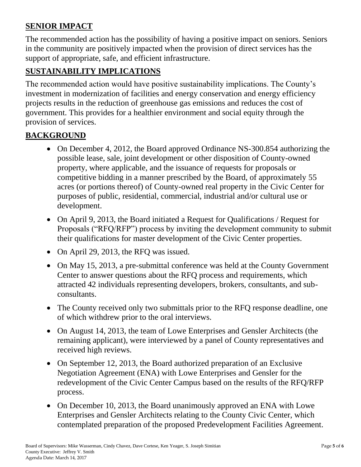# **SENIOR IMPACT**

The recommended action has the possibility of having a positive impact on seniors. Seniors in the community are positively impacted when the provision of direct services has the support of appropriate, safe, and efficient infrastructure.

## **SUSTAINABILITY IMPLICATIONS**

The recommended action would have positive sustainability implications. The County's investment in modernization of facilities and energy conservation and energy efficiency projects results in the reduction of greenhouse gas emissions and reduces the cost of government. This provides for a healthier environment and social equity through the provision of services.

## **BACKGROUND**

- On December 4, 2012, the Board approved Ordinance NS-300.854 authorizing the possible lease, sale, joint development or other disposition of County-owned property, where applicable, and the issuance of requests for proposals or competitive bidding in a manner prescribed by the Board, of approximately 55 acres (or portions thereof) of County-owned real property in the Civic Center for purposes of public, residential, commercial, industrial and/or cultural use or development.
- On April 9, 2013, the Board initiated a Request for Qualifications / Request for Proposals ("RFQ/RFP") process by inviting the development community to submit their qualifications for master development of the Civic Center properties.
- On April 29, 2013, the RFQ was issued.
- On May 15, 2013, a pre-submittal conference was held at the County Government Center to answer questions about the RFQ process and requirements, which attracted 42 individuals representing developers, brokers, consultants, and subconsultants.
- The County received only two submittals prior to the RFQ response deadline, one of which withdrew prior to the oral interviews.
- On August 14, 2013, the team of Lowe Enterprises and Gensler Architects (the remaining applicant), were interviewed by a panel of County representatives and received high reviews.
- On September 12, 2013, the Board authorized preparation of an Exclusive Negotiation Agreement (ENA) with Lowe Enterprises and Gensler for the redevelopment of the Civic Center Campus based on the results of the RFQ/RFP process.
- On December 10, 2013, the Board unanimously approved an ENA with Lowe Enterprises and Gensler Architects relating to the County Civic Center, which contemplated preparation of the proposed Predevelopment Facilities Agreement.